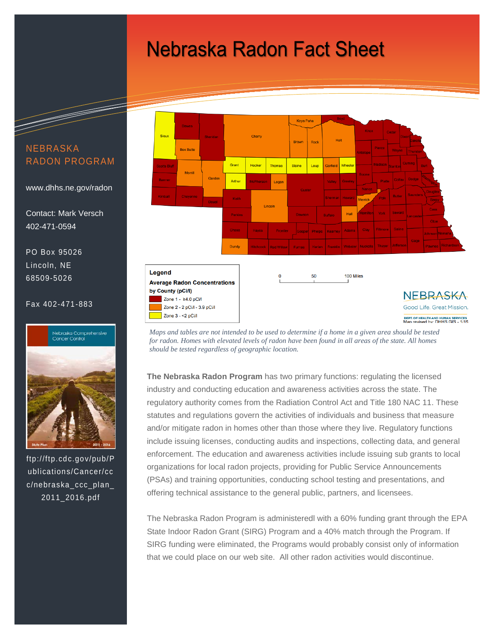# **Nebraska Radon Fact Sheet**

Keya Paha Sioux Chern **Box Butt** Grant **Blaine** Morril Garder Arthu Logal Lincoln Hall Dund **Legend** 100 Miles 50 **Average Radon Concentrations** by County (pCi/l) **NEBRASKA** Zone 1 - ≥4.0 pCi/l Zone 2 - 2 pCi/l - 3.9 pCi/l Good Life. Great Mission. Zone  $3 - 2$  pCi/l DEPT. OF HEALTH AND HUMAN SERVICES<br>Man revised by: DHHS GIS - 1/15

*Maps and tables are not intended to be used to determine if a home in a given area should be tested*  for radon. Homes with elevated levels of radon have been found in all areas of the state. All homes *should be tested regardless of geographic location.*

**The Nebraska Radon Program** has two primary functions: regulating the licensed industry and conducting education and awareness activities across the state. The regulatory authority comes from the Radiation Control Act and Title 180 NAC 11. These statutes and regulations govern the activities of individuals and business that measure and/or mitigate radon in homes other than those where they live. Regulatory functions include issuing licenses, conducting audits and inspections, collecting data, and general enforcement. The education and awareness activities include issuing sub grants to local organizations for local radon projects, providing for Public Service Announcements (PSAs) and training opportunities, conducting school testing and presentations, and offering technical assistance to the general public, partners, and licensees.

The Nebraska Radon Program is administeredl with a 60% funding grant through the EPA State Indoor Radon Grant (SIRG) Program and a 40% match through the Program. If SIRG funding were eliminated, the Programs would probably consist only of information that we could place on our web site. All other radon activities would discontinue.

### NEBRASKA RADON PROGRAM

www.dhhs.ne.gov/radon

Contact: Mark Versch 402-471-0594

PO Box 95026 Lincoln, NE 68509-5026

#### Fax 402-471-883

#### .<br>Nebraska Comprehensive<br>Cancer Control



ftp://ftp.cdc.gov/pub/P ublications/Cancer/cc c/nebraska\_ccc\_plan\_ 2011\_2016.pdf